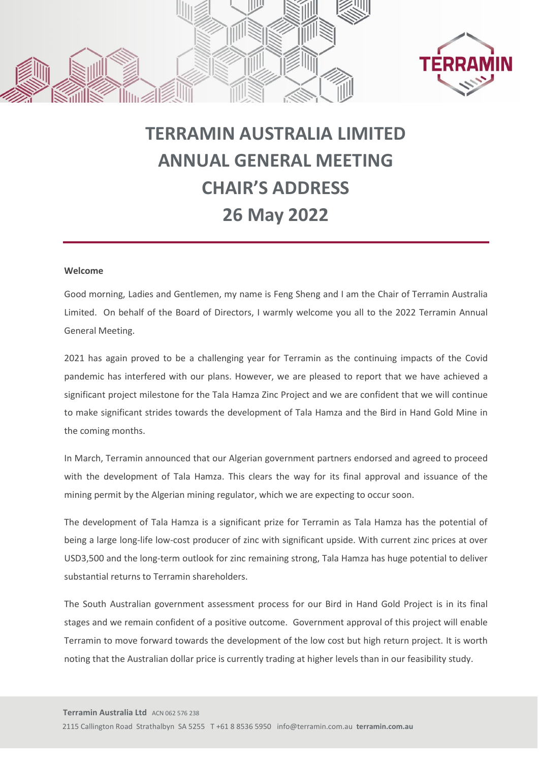



## **TERRAMIN AUSTRALIA LIMITED ANNUAL GENERAL MEETING CHAIR'S ADDRESS 26 May 2022**

## **Welcome**

Good morning, Ladies and Gentlemen, my name is Feng Sheng and I am the Chair of Terramin Australia Limited. On behalf of the Board of Directors, I warmly welcome you all to the 2022 Terramin Annual General Meeting.

2021 has again proved to be a challenging year for Terramin as the continuing impacts of the Covid pandemic has interfered with our plans. However, we are pleased to report that we have achieved a significant project milestone for the Tala Hamza Zinc Project and we are confident that we will continue to make significant strides towards the development of Tala Hamza and the Bird in Hand Gold Mine in the coming months.

In March, Terramin announced that our Algerian government partners endorsed and agreed to proceed with the development of Tala Hamza. This clears the way for its final approval and issuance of the mining permit by the Algerian mining regulator, which we are expecting to occur soon.

The development of Tala Hamza is a significant prize for Terramin as Tala Hamza has the potential of being a large long-life low-cost producer of zinc with significant upside. With current zinc prices at over USD3,500 and the long-term outlook for zinc remaining strong, Tala Hamza has huge potential to deliver substantial returns to Terramin shareholders.

The South Australian government assessment process for our Bird in Hand Gold Project is in its final stages and we remain confident of a positive outcome. Government approval of this project will enable Terramin to move forward towards the development of the low cost but high return project. It is worth noting that the Australian dollar price is currently trading at higher levels than in our feasibility study.